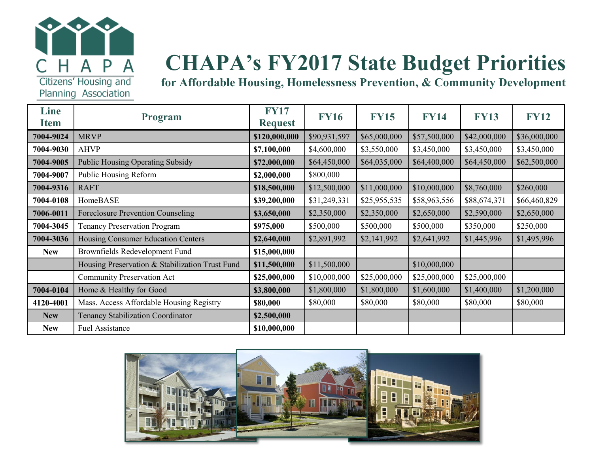

# **CHAPA's FY2017 State Budget Priorities**

**for Affordable Housing, Homelessness Prevention, & Community Development**

| Line<br><b>Item</b> | <b>Program</b>                                  | <b>FY17</b><br><b>Request</b> | <b>FY16</b>  | <b>FY15</b>  | <b>FY14</b>  | <b>FY13</b>  | <b>FY12</b>  |
|---------------------|-------------------------------------------------|-------------------------------|--------------|--------------|--------------|--------------|--------------|
| 7004-9024           | <b>MRVP</b>                                     | \$120,000,000                 | \$90,931,597 | \$65,000,000 | \$57,500,000 | \$42,000,000 | \$36,000,000 |
| 7004-9030           | <b>AHVP</b>                                     | \$7,100,000                   | \$4,600,000  | \$3,550,000  | \$3,450,000  | \$3,450,000  | \$3,450,000  |
| 7004-9005           | <b>Public Housing Operating Subsidy</b>         | \$72,000,000                  | \$64,450,000 | \$64,035,000 | \$64,400,000 | \$64,450,000 | \$62,500,000 |
| 7004-9007           | <b>Public Housing Reform</b>                    | \$2,000,000                   | \$800,000    |              |              |              |              |
| 7004-9316           | <b>RAFT</b>                                     | \$18,500,000                  | \$12,500,000 | \$11,000,000 | \$10,000,000 | \$8,760,000  | \$260,000    |
| 7004-0108           | HomeBASE                                        | \$39,200,000                  | \$31,249,331 | \$25,955,535 | \$58,963,556 | \$88,674,371 | \$66,460,829 |
| 7006-0011           | <b>Foreclosure Prevention Counseling</b>        | \$3,650,000                   | \$2,350,000  | \$2,350,000  | \$2,650,000  | \$2,590,000  | \$2,650,000  |
| 7004-3045           | <b>Tenancy Preservation Program</b>             | \$975,000                     | \$500,000    | \$500,000    | \$500,000    | \$350,000    | \$250,000    |
| 7004-3036           | Housing Consumer Education Centers              | \$2,640,000                   | \$2,891,992  | \$2,141,992  | \$2,641,992  | \$1,445,996  | \$1,495,996  |
| <b>New</b>          | Brownfields Redevelopment Fund                  | \$15,000,000                  |              |              |              |              |              |
|                     | Housing Preservation & Stabilization Trust Fund | \$11,500,000                  | \$11,500,000 |              | \$10,000,000 |              |              |
|                     | <b>Community Preservation Act</b>               | \$25,000,000                  | \$10,000,000 | \$25,000,000 | \$25,000,000 | \$25,000,000 |              |
| 7004-0104           | Home & Healthy for Good                         | \$3,800,000                   | \$1,800,000  | \$1,800,000  | \$1,600,000  | \$1,400,000  | \$1,200,000  |
| 4120-4001           | Mass. Access Affordable Housing Registry        | \$80,000                      | \$80,000     | \$80,000     | \$80,000     | \$80,000     | \$80,000     |
| <b>New</b>          | <b>Tenancy Stabilization Coordinator</b>        | \$2,500,000                   |              |              |              |              |              |
| <b>New</b>          | <b>Fuel Assistance</b>                          | \$10,000,000                  |              |              |              |              |              |

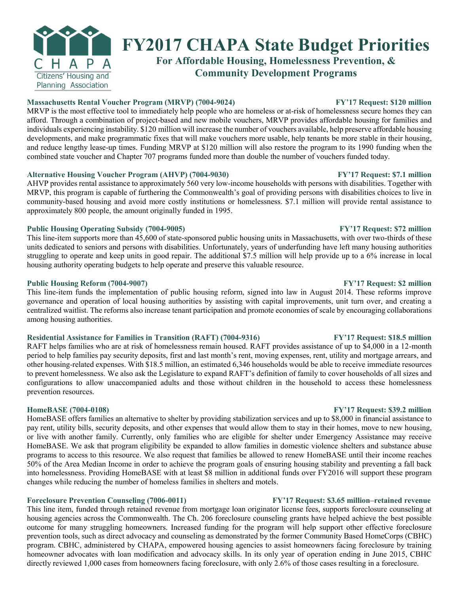

## **FY2017 CHAPA State Budget Priorities**

**For Affordable Housing, Homelessness Prevention, & Community Development Programs**

### **Massachusetts Rental Voucher Program (MRVP) (7004-9024) FY'17 Request: \$120 million**

MRVP is the most effective tool to immediately help people who are homeless or at-risk of homelessness secure homes they can afford. Through a combination of project-based and new mobile vouchers, MRVP provides affordable housing for families and individuals experiencing instability. \$120 million will increase the number of vouchers available, help preserve affordable housing developments, and make programmatic fixes that will make vouchers more usable, help tenants be more stable in their housing, and reduce lengthy lease-up times. Funding MRVP at \$120 million will also restore the program to its 1990 funding when the combined state voucher and Chapter 707 programs funded more than double the number of vouchers funded today.

### **Alternative Housing Voucher Program (AHVP) (7004-9030) FY'17 Request: \$7.1 million**

AHVP provides rental assistance to approximately 560 very low-income households with persons with disabilities. Together with MRVP, this program is capable of furthering the Commonwealth's goal of providing persons with disabilities choices to live in community-based housing and avoid more costly institutions or homelessness. \$7.1 million will provide rental assistance to approximately 800 people, the amount originally funded in 1995.

### **Public Housing Operating Subsidy (7004-9005) FY'17 Request: \$72 million**

This line-item supports more than 45,600 of state-sponsored public housing units in Massachusetts, with over two-thirds of these units dedicated to seniors and persons with disabilities. Unfortunately, years of underfunding have left many housing authorities struggling to operate and keep units in good repair. The additional \$7.5 million will help provide up to a 6% increase in local housing authority operating budgets to help operate and preserve this valuable resource.

### **Public Housing Reform (7004-9007) FY'17 Request: \$2 million**

This line-item funds the implementation of public housing reform, signed into law in August 2014. These reforms improve governance and operation of local housing authorities by assisting with capital improvements, unit turn over, and creating a centralized waitlist. The reforms also increase tenant participation and promote economies of scale by encouraging collaborations among housing authorities.

### **Residential Assistance for Families in Transition (RAFT) (7004-9316) FY'17 Request: \$18.5 million**

RAFT helps families who are at risk of homelessness remain housed. RAFT provides assistance of up to \$4,000 in a 12-month period to help families pay security deposits, first and last month's rent, moving expenses, rent, utility and mortgage arrears, and other housing-related expenses. With \$18.5 million, an estimated 6,346 households would be able to receive immediate resources to prevent homelessness. We also ask the Legislature to expand RAFT's definition of family to cover households of all sizes and configurations to allow unaccompanied adults and those without children in the household to access these homelessness prevention resources.

HomeBASE offers families an alternative to shelter by providing stabilization services and up to \$8,000 in financial assistance to pay rent, utility bills, security deposits, and other expenses that would allow them to stay in their homes, move to new housing, or live with another family. Currently, only families who are eligible for shelter under Emergency Assistance may receive HomeBASE. We ask that program eligibility be expanded to allow families in domestic violence shelters and substance abuse programs to access to this resource. We also request that families be allowed to renew HomeBASE until their income reaches 50% of the Area Median Income in order to achieve the program goals of ensuring housing stability and preventing a fall back into homelessness. Providing HomeBASE with at least \$8 million in additional funds over FY2016 will support these program changes while reducing the number of homeless families in shelters and motels.

### **Foreclosure Prevention Counseling (7006-0011) FY'17 Request: \$3.65 million–retained revenue**

This line item, funded through retained revenue from mortgage loan originator license fees, supports foreclosure counseling at housing agencies across the Commonwealth. The Ch. 206 foreclosure counseling grants have helped achieve the best possible outcome for many struggling homeowners. Increased funding for the program will help support other effective foreclosure prevention tools, such as direct advocacy and counseling as demonstrated by the former Community Based HomeCorps (CBHC) program. CBHC, administered by CHAPA, empowered housing agencies to assist homeowners facing foreclosure by training homeowner advocates with loan modification and advocacy skills. In its only year of operation ending in June 2015, CBHC directly reviewed 1,000 cases from homeowners facing foreclosure, with only 2.6% of those cases resulting in a foreclosure.

### **HomeBASE (7004-0108) FY'17 Request: \$39.2 million**